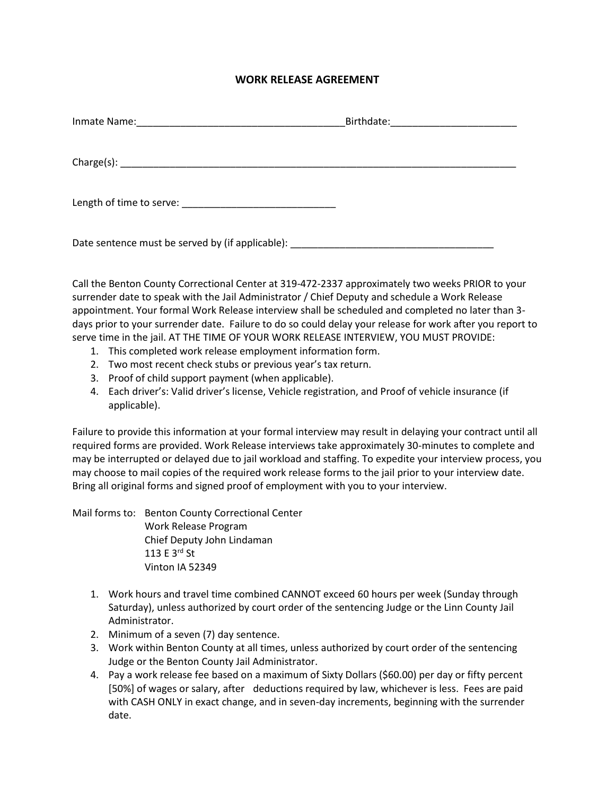## **WORK RELEASE AGREEMENT**

| Date sentence must be served by (if applicable): |  |
|--------------------------------------------------|--|

Call the Benton County Correctional Center at 319-472-2337 approximately two weeks PRIOR to your surrender date to speak with the Jail Administrator / Chief Deputy and schedule a Work Release appointment. Your formal Work Release interview shall be scheduled and completed no later than 3 days prior to your surrender date. Failure to do so could delay your release for work after you report to serve time in the jail. AT THE TIME OF YOUR WORK RELEASE INTERVIEW, YOU MUST PROVIDE:

- 1. This completed work release employment information form.
- 2. Two most recent check stubs or previous year's tax return.
- 3. Proof of child support payment (when applicable).
- 4. Each driver's: Valid driver's license, Vehicle registration, and Proof of vehicle insurance (if applicable).

Failure to provide this information at your formal interview may result in delaying your contract until all required forms are provided. Work Release interviews take approximately 30-minutes to complete and may be interrupted or delayed due to jail workload and staffing. To expedite your interview process, you may choose to mail copies of the required work release forms to the jail prior to your interview date. Bring all original forms and signed proof of employment with you to your interview.

Mail forms to: Benton County Correctional Center Work Release Program Chief Deputy John Lindaman 113 E 3rd St Vinton IA 52349

- 1. Work hours and travel time combined CANNOT exceed 60 hours per week (Sunday through Saturday), unless authorized by court order of the sentencing Judge or the Linn County Jail Administrator.
- 2. Minimum of a seven (7) day sentence.
- 3. Work within Benton County at all times, unless authorized by court order of the sentencing Judge or the Benton County Jail Administrator.
- 4. Pay a work release fee based on a maximum of Sixty Dollars (\$60.00) per day or fifty percent [50%] of wages or salary, after deductions required by law, whichever is less. Fees are paid with CASH ONLY in exact change, and in seven-day increments, beginning with the surrender date.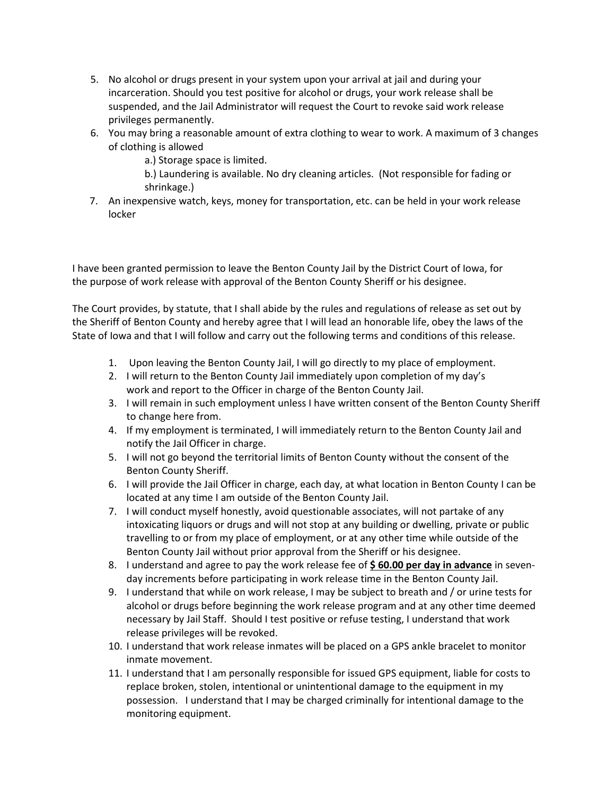- 5. No alcohol or drugs present in your system upon your arrival at jail and during your incarceration. Should you test positive for alcohol or drugs, your work release shall be suspended, and the Jail Administrator will request the Court to revoke said work release privileges permanently.
- 6. You may bring a reasonable amount of extra clothing to wear to work. A maximum of 3 changes of clothing is allowed
	- a.) Storage space is limited.
	- b.) Laundering is available. No dry cleaning articles. (Not responsible for fading or shrinkage.)
- 7. An inexpensive watch, keys, money for transportation, etc. can be held in your work release locker

I have been granted permission to leave the Benton County Jail by the District Court of Iowa, for the purpose of work release with approval of the Benton County Sheriff or his designee.

The Court provides, by statute, that I shall abide by the rules and regulations of release as set out by the Sheriff of Benton County and hereby agree that I will lead an honorable life, obey the laws of the State of Iowa and that I will follow and carry out the following terms and conditions of this release.

- 1. Upon leaving the Benton County Jail, I will go directly to my place of employment.
- 2. I will return to the Benton County Jail immediately upon completion of my day's work and report to the Officer in charge of the Benton County Jail.
- 3. I will remain in such employment unless I have written consent of the Benton County Sheriff to change here from.
- 4. If my employment is terminated, I will immediately return to the Benton County Jail and notify the Jail Officer in charge.
- 5. I will not go beyond the territorial limits of Benton County without the consent of the Benton County Sheriff.
- 6. I will provide the Jail Officer in charge, each day, at what location in Benton County I can be located at any time I am outside of the Benton County Jail.
- 7. I will conduct myself honestly, avoid questionable associates, will not partake of any intoxicating liquors or drugs and will not stop at any building or dwelling, private or public travelling to or from my place of employment, or at any other time while outside of the Benton County Jail without prior approval from the Sheriff or his designee.
- 8. I understand and agree to pay the work release fee of **\$ 60.00 per day in advance** in sevenday increments before participating in work release time in the Benton County Jail.
- 9. I understand that while on work release, I may be subject to breath and / or urine tests for alcohol or drugs before beginning the work release program and at any other time deemed necessary by Jail Staff. Should I test positive or refuse testing, I understand that work release privileges will be revoked.
- 10. I understand that work release inmates will be placed on a GPS ankle bracelet to monitor inmate movement.
- 11. I understand that I am personally responsible for issued GPS equipment, liable for costs to replace broken, stolen, intentional or unintentional damage to the equipment in my possession. I understand that I may be charged criminally for intentional damage to the monitoring equipment.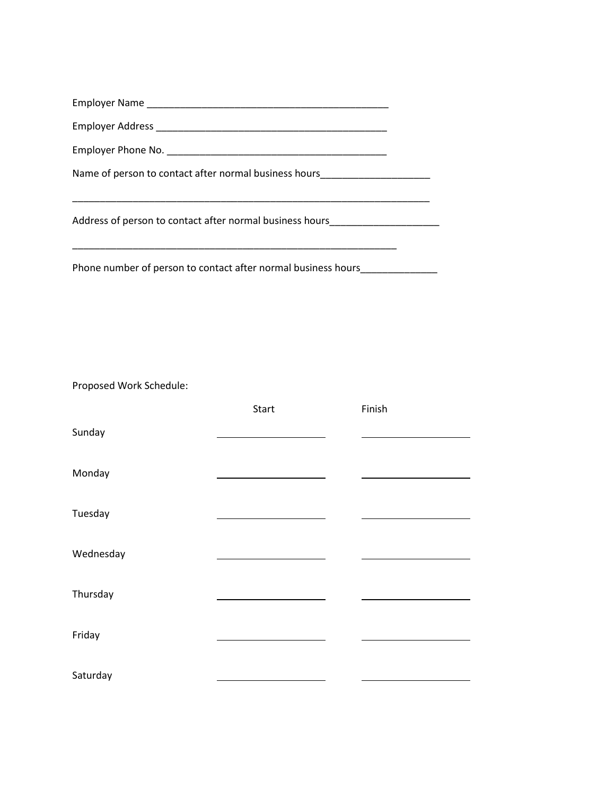| Name of person to contact after normal business hours    |  |  |
|----------------------------------------------------------|--|--|
| Address of person to contact after normal business hours |  |  |
|                                                          |  |  |

Phone number of person to contact after normal business hours\_\_\_\_\_\_\_\_\_\_\_\_\_\_\_\_\_\_\_

Proposed Work Schedule:

|           | Start | Finish |  |
|-----------|-------|--------|--|
| Sunday    |       |        |  |
| Monday    |       |        |  |
| Tuesday   |       |        |  |
| Wednesday |       |        |  |
| Thursday  |       |        |  |
| Friday    |       |        |  |
| Saturday  |       |        |  |